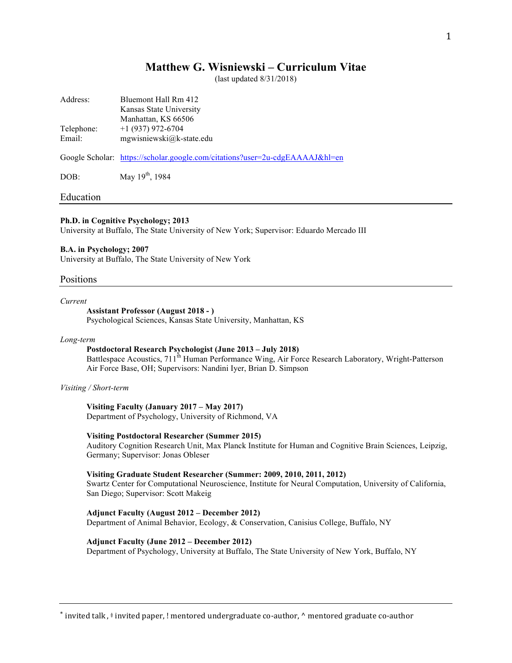# **Matthew G. Wisniewski – Curriculum Vitae**

(last updated 8/31/2018)

| Address:             | Bluemont Hall Rm 412<br>Kansas State University<br>Manhattan, KS 66506       |
|----------------------|------------------------------------------------------------------------------|
| Telephone:<br>Email: | $+1$ (937) 972-6704<br>mgwisniewski@k-state.edu                              |
|                      | Google Scholar: https://scholar.google.com/citations?user=2u-cdgEAAAAJ&hl=en |
| DOB:                 | May $19^{th}$ , 1984                                                         |

### Education

### **Ph.D. in Cognitive Psychology; 2013**

University at Buffalo, The State University of New York; Supervisor: Eduardo Mercado III

### **B.A. in Psychology; 2007**

University at Buffalo, The State University of New York

### Positions

### *Current*

# **Assistant Professor (August 2018 - )**

Psychological Sciences, Kansas State University, Manhattan, KS

### *Long-term*

# **Postdoctoral Research Psychologist (June 2013 – July 2018)**

Battlespace Acoustics, 711<sup>th</sup> Human Performance Wing, Air Force Research Laboratory, Wright-Patterson Air Force Base, OH; Supervisors: Nandini Iyer, Brian D. Simpson

### *Visiting / Short-term*

# **Visiting Faculty (January 2017 – May 2017)**

Department of Psychology, University of Richmond, VA

## **Visiting Postdoctoral Researcher (Summer 2015)**

Auditory Cognition Research Unit, Max Planck Institute for Human and Cognitive Brain Sciences, Leipzig, Germany; Supervisor: Jonas Obleser

### **Visiting Graduate Student Researcher (Summer: 2009, 2010, 2011, 2012)**

Swartz Center for Computational Neuroscience, Institute for Neural Computation, University of California, San Diego; Supervisor: Scott Makeig

#### **Adjunct Faculty (August 2012 – December 2012)**

Department of Animal Behavior, Ecology, & Conservation, Canisius College, Buffalo, NY

### **Adjunct Faculty (June 2012 – December 2012)**

Department of Psychology, University at Buffalo, The State University of New York, Buffalo, NY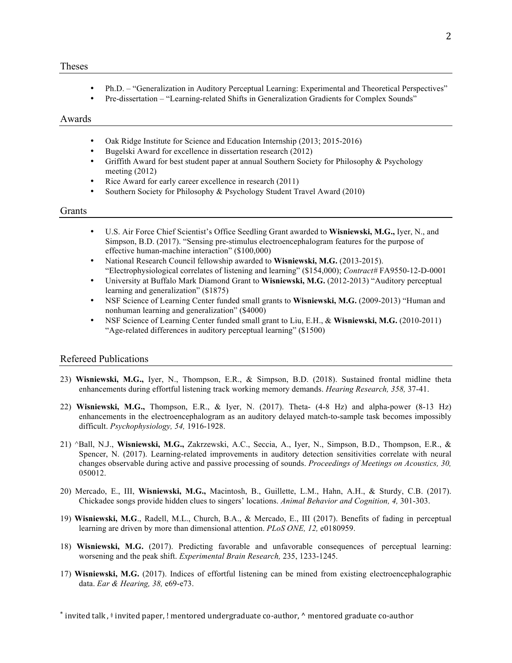- Ph.D. "Generalization in Auditory Perceptual Learning: Experimental and Theoretical Perspectives"
- Pre-dissertation "Learning-related Shifts in Generalization Gradients for Complex Sounds"

## Awards

- Oak Ridge Institute for Science and Education Internship (2013; 2015-2016)
- Bugelski Award for excellence in dissertation research (2012)
- Griffith Award for best student paper at annual Southern Society for Philosophy & Psychology meeting (2012)
- Rice Award for early career excellence in research (2011)
- Southern Society for Philosophy & Psychology Student Travel Award (2010)

# Grants

- U.S. Air Force Chief Scientist's Office Seedling Grant awarded to **Wisniewski, M.G.,** Iyer, N., and Simpson, B.D. (2017). "Sensing pre-stimulus electroencephalogram features for the purpose of effective human-machine interaction" (\$100,000)
- National Research Council fellowship awarded to **Wisniewski, M.G.** (2013-2015). "Electrophysiological correlates of listening and learning" (\$154,000); *Contract#* FA9550-12-D-0001
- University at Buffalo Mark Diamond Grant to **Wisniewski, M.G.** (2012-2013) "Auditory perceptual learning and generalization" (\$1875)
- NSF Science of Learning Center funded small grants to **Wisniewski, M.G.** (2009-2013) "Human and nonhuman learning and generalization" (\$4000)
- NSF Science of Learning Center funded small grant to Liu, E.H., & **Wisniewski, M.G.** (2010-2011) "Age-related differences in auditory perceptual learning" (\$1500)

# Refereed Publications

- 23) **Wisniewski, M.G.,** Iyer, N., Thompson, E.R., & Simpson, B.D. (2018). Sustained frontal midline theta enhancements during effortful listening track working memory demands. *Hearing Research, 358,* 37-41.
- 22) **Wisniewski, M.G.,** Thompson, E.R., & Iyer, N. (2017). Theta- (4-8 Hz) and alpha-power (8-13 Hz) enhancements in the electroencephalogram as an auditory delayed match-to-sample task becomes impossibly difficult. *Psychophysiology, 54,* 1916-1928.
- 21) ^Ball, N.J., **Wisniewski, M.G.,** Zakrzewski, A.C., Seccia, A., Iyer, N., Simpson, B.D., Thompson, E.R., & Spencer, N. (2017). Learning-related improvements in auditory detection sensitivities correlate with neural changes observable during active and passive processing of sounds. *Proceedings of Meetings on Acoustics, 30,* 050012.
- 20) Mercado, E., III, **Wisniewski, M.G.,** Macintosh, B., Guillette, L.M., Hahn, A.H., & Sturdy, C.B. (2017). Chickadee songs provide hidden clues to singers' locations. *Animal Behavior and Cognition, 4,* 301-303.
- 19) **Wisniewski, M.G**., Radell, M.L., Church, B.A., & Mercado, E., III (2017). Benefits of fading in perceptual learning are driven by more than dimensional attention. *PLoS ONE, 12,* e0180959.
- 18) **Wisniewski, M.G.** (2017). Predicting favorable and unfavorable consequences of perceptual learning: worsening and the peak shift. *Experimental Brain Research,* 235, 1233-1245.
- 17) **Wisniewski, M.G.** (2017). Indices of effortful listening can be mined from existing electroencephalographic data. *Ear & Hearing, 38,* e69-e73.
- \* invited talk,  $\ddot{a}$  invited paper, ! mentored undergraduate co-author,  $\wedge$  mentored graduate co-author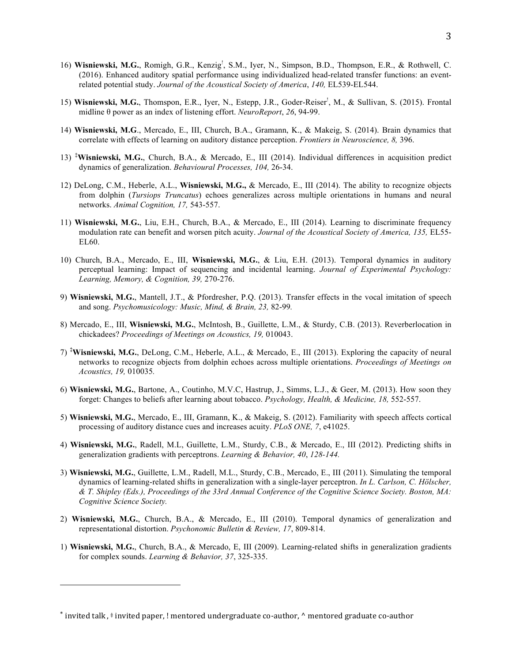- 16) Wisniewski, M.G., Romigh, G.R., Kenzig<sup>!</sup>, S.M., Iyer, N., Simpson, B.D., Thompson, E.R., & Rothwell, C. (2016). Enhanced auditory spatial performance using individualized head-related transfer functions: an eventrelated potential study. *Journal of the Acoustical Society of America*, *140,* EL539-EL544.
- 15) Wisniewski, M.G., Thomspon, E.R., Iyer, N., Estepp, J.R., Goder-Reiser<sup>!</sup>, M., & Sullivan, S. (2015). Frontal midline θ power as an index of listening effort. *NeuroReport*, *26*, 94-99.
- 14) **Wisniewski, M.G**., Mercado, E., III, Church, B.A., Gramann, K., & Makeig, S. (2014). Brain dynamics that correlate with effects of learning on auditory distance perception. *Frontiers in Neuroscience, 8,* 396.
- 13) **‡ Wisniewski, M.G.**, Church, B.A., & Mercado, E., III (2014). Individual differences in acquisition predict dynamics of generalization. *Behavioural Processes, 104,* 26-34.
- 12) DeLong, C.M., Heberle, A.L., **Wisniewski, M.G.,** & Mercado, E., III (2014). The ability to recognize objects from dolphin (*Tursiops Truncatus*) echoes generalizes across multiple orientations in humans and neural networks. *Animal Cognition, 17,* 543-557.
- 11) **Wisniewski, M**.**G.**, Liu, E.H., Church, B.A., & Mercado, E., III (2014). Learning to discriminate frequency modulation rate can benefit and worsen pitch acuity. *Journal of the Acoustical Society of America, 135,* EL55- EL60.
- 10) Church, B.A., Mercado, E., III, **Wisniewski, M.G.**, & Liu, E.H. (2013). Temporal dynamics in auditory perceptual learning: Impact of sequencing and incidental learning. *Journal of Experimental Psychology: Learning, Memory, & Cognition, 39,* 270-276.
- 9) **Wisniewski, M.G.**, Mantell, J.T., & Pfordresher, P.Q. (2013). Transfer effects in the vocal imitation of speech and song. *Psychomusicology: Music, Mind, & Brain, 23,* 82-99*.*
- 8) Mercado, E., III, **Wisniewski, M.G.**, McIntosh, B., Guillette, L.M., & Sturdy, C.B. (2013). Reverberlocation in chickadees? *Proceedings of Meetings on Acoustics, 19,* 010043.
- 7) **‡ Wisniewski, M.G.**, DeLong, C.M., Heberle, A.L., & Mercado, E., III (2013). Exploring the capacity of neural networks to recognize objects from dolphin echoes across multiple orientations. *Proceedings of Meetings on Acoustics, 19,* 010035*.*
- 6) **Wisniewski, M.G.**, Bartone, A., Coutinho, M.V.C, Hastrup, J., Simms, L.J., & Geer, M. (2013). How soon they forget: Changes to beliefs after learning about tobacco. *Psychology, Health, & Medicine, 18,* 552-557.
- 5) **Wisniewski, M.G.**, Mercado, E., III, Gramann, K., & Makeig, S. (2012). Familiarity with speech affects cortical processing of auditory distance cues and increases acuity. *PLoS ONE, 7*, e41025.
- 4) **Wisniewski, M.G.**, Radell, M.L, Guillette, L.M., Sturdy, C.B., & Mercado, E., III (2012). Predicting shifts in generalization gradients with perceptrons. *Learning & Behavior, 40*, *128-144.*
- 3) **Wisniewski, M.G.**, Guillette, L.M., Radell, M.L., Sturdy, C.B., Mercado, E., III (2011). Simulating the temporal dynamics of learning-related shifts in generalization with a single-layer perceptron. *In L. Carlson, C. Hölscher, & T. Shipley (Eds.), Proceedings of the 33rd Annual Conference of the Cognitive Science Society. Boston, MA: Cognitive Science Society.*
- 2) **Wisniewski, M.G.**, Church, B.A., & Mercado, E., III (2010). Temporal dynamics of generalization and representational distortion. *Psychonomic Bulletin & Review, 17*, 809-814.
- 1) **Wisniewski, M.G.**, Church, B.A., & Mercado, E, III (2009). Learning-related shifts in generalization gradients for complex sounds. *Learning & Behavior, 37*, 325-335.

 

<sup>\*</sup> invited talk,  $\ddot{ }$  invited paper, ! mentored undergraduate co-author,  $\wedge$  mentored graduate co-author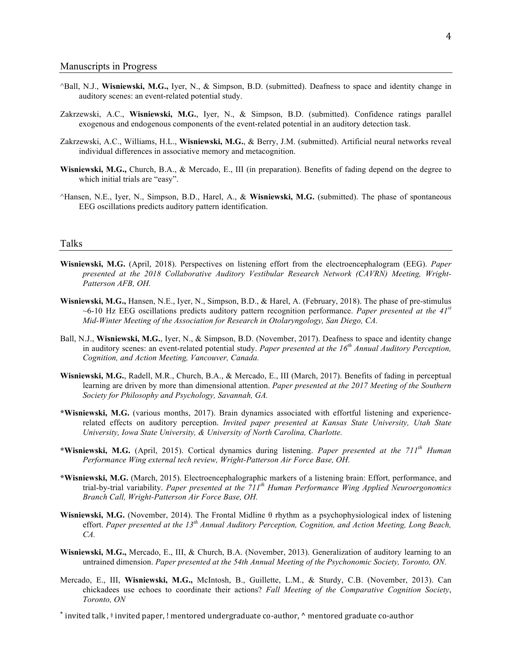- ^Ball, N.J., **Wisniewski, M.G.,** Iyer, N., & Simpson, B.D. (submitted). Deafness to space and identity change in auditory scenes: an event-related potential study.
- Zakrzewski, A.C., **Wisniewski, M.G.**, Iyer, N., & Simpson, B.D. (submitted). Confidence ratings parallel exogenous and endogenous components of the event-related potential in an auditory detection task.
- Zakrzewski, A.C., Williams, H.L., **Wisniewski, M.G.**, & Berry, J.M. (submitted). Artificial neural networks reveal individual differences in associative memory and metacognition.
- **Wisniewski, M.G.,** Church, B.A., & Mercado, E., III (in preparation). Benefits of fading depend on the degree to which initial trials are "easy".
- ^Hansen, N.E., Iyer, N., Simpson, B.D., Harel, A., & **Wisniewski, M.G.** (submitted). The phase of spontaneous EEG oscillations predicts auditory pattern identification.

### Talks

- **Wisniewski, M.G.** (April, 2018). Perspectives on listening effort from the electroencephalogram (EEG). *Paper presented at the 2018 Collaborative Auditory Vestibular Research Network (CAVRN) Meeting, Wright-Patterson AFB, OH.*
- **Wisniewski, M.G.,** Hansen, N.E., Iyer, N., Simpson, B.D., & Harel, A. (February, 2018). The phase of pre-stimulus ~6-10 Hz EEG oscillations predicts auditory pattern recognition performance. *Paper presented at the 41st Mid-Winter Meeting of the Association for Research in Otolaryngology, San Diego, CA.*
- Ball, N.J., **Wisniewski, M.G.**, Iyer, N., & Simpson, B.D. (November, 2017). Deafness to space and identity change in auditory scenes: an event-related potential study. *Paper presented at the 16th Annual Auditory Perception, Cognition, and Action Meeting, Vancouver, Canada.*
- **Wisniewski, M.G.**, Radell, M.R., Church, B.A., & Mercado, E., III (March, 2017). Benefits of fading in perceptual learning are driven by more than dimensional attention. *Paper presented at the 2017 Meeting of the Southern Society for Philosophy and Psychology, Savannah, GA.*
- **\*Wisniewski, M.G.** (various months, 2017). Brain dynamics associated with effortful listening and experiencerelated effects on auditory perception. *Invited paper presented at Kansas State University, Utah State University, Iowa State University, & University of North Carolina, Charlotte.*
- **\*Wisniewski, M.G.** (April, 2015). Cortical dynamics during listening. *Paper presented at the 711th Human Performance Wing external tech review, Wright-Patterson Air Force Base, OH.*
- **\*Wisniewski, M.G.** (March, 2015). Electroencephalographic markers of a listening brain: Effort, performance, and trial-by-trial variability. *Paper presented at the 711th Human Performance Wing Applied Neuroergonomics Branch Call, Wright-Patterson Air Force Base, OH.*
- **Wisniewski, M.G.** (November, 2014). The Frontal Midline θ rhythm as a psychophysiological index of listening effort. *Paper presented at the 13th Annual Auditory Perception, Cognition, and Action Meeting, Long Beach, CA.*
- **Wisniewski, M.G.,** Mercado, E., III, & Church, B.A. (November, 2013). Generalization of auditory learning to an untrained dimension. *Paper presented at the 54th Annual Meeting of the Psychonomic Society, Toronto, ON.*
- Mercado, E., III, **Wisniewski, M.G.,** McIntosh, B., Guillette, L.M., & Sturdy, C.B. (November, 2013). Can chickadees use echoes to coordinate their actions? *Fall Meeting of the Comparative Cognition Society*, *Toronto, ON*
- \* invited talk, # invited paper, ! mentored undergraduate co-author, ^ mentored graduate co-author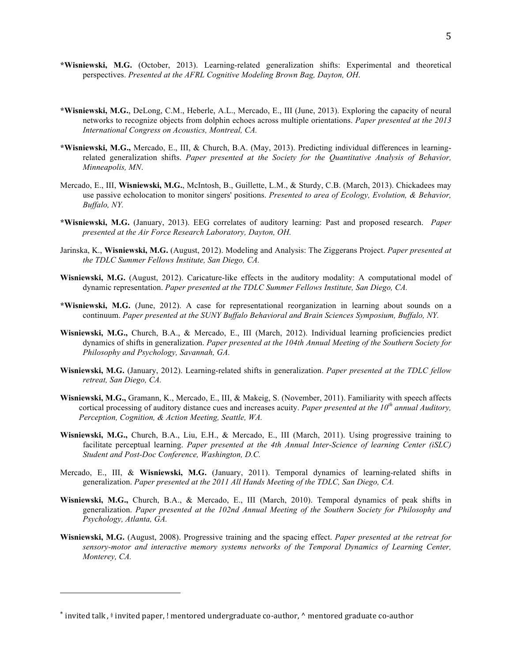- **\*Wisniewski, M.G.** (October, 2013). Learning-related generalization shifts: Experimental and theoretical perspectives. *Presented at the AFRL Cognitive Modeling Brown Bag, Dayton, OH*.
- **\*Wisniewski, M.G.**, DeLong, C.M., Heberle, A.L., Mercado, E., III (June, 2013). Exploring the capacity of neural networks to recognize objects from dolphin echoes across multiple orientations. *Paper presented at the 2013 International Congress on Acoustics, Montreal, CA.*
- **\*Wisniewski, M.G.,** Mercado, E., III, & Church, B.A. (May, 2013). Predicting individual differences in learningrelated generalization shifts. *Paper presented at the Society for the Quantitative Analysis of Behavior, Minneapolis, MN*.
- Mercado, E., III, **Wisniewski, M.G.**, McIntosh, B., Guillette, L.M., & Sturdy, C.B. (March, 2013). Chickadees may use passive echolocation to monitor singers' positions. *Presented to area of Ecology, Evolution, & Behavior, Buffalo, NY.*
- **\*Wisniewski, M.G.** (January, 2013). EEG correlates of auditory learning: Past and proposed research. *Paper presented at the Air Force Research Laboratory, Dayton, OH.*
- Jarinska, K., **Wisniewski, M.G.** (August, 2012). Modeling and Analysis: The Ziggerans Project. *Paper presented at the TDLC Summer Fellows Institute, San Diego, CA.*
- **Wisniewski, M.G.** (August, 2012). Caricature-like effects in the auditory modality: A computational model of dynamic representation. *Paper presented at the TDLC Summer Fellows Institute, San Diego, CA.*
- **\*Wisniewski, M.G.** (June, 2012). A case for representational reorganization in learning about sounds on a continuum. *Paper presented at the SUNY Buffalo Behavioral and Brain Sciences Symposium, Buffalo, NY.*
- **Wisniewski, M.G.,** Church, B.A., & Mercado, E., III (March, 2012). Individual learning proficiencies predict dynamics of shifts in generalization. *Paper presented at the 104th Annual Meeting of the Southern Society for Philosophy and Psychology, Savannah, GA.*
- **Wisniewski, M.G.** (January, 2012). Learning-related shifts in generalization. *Paper presented at the TDLC fellow retreat, San Diego, CA.*
- **Wisniewski, M.G.,** Gramann, K., Mercado, E., III, & Makeig, S. (November, 2011). Familiarity with speech affects cortical processing of auditory distance cues and increases acuity. *Paper presented at the 10th annual Auditory, Perception, Cognition, & Action Meeting, Seattle, WA.*
- **Wisniewski, M.G.,** Church, B.A., Liu, E.H., & Mercado, E., III (March, 2011). Using progressive training to facilitate perceptual learning. *Paper presented at the 4th Annual Inter-Science of learning Center (iSLC) Student and Post-Doc Conference, Washington, D.C.*
- Mercado, E., III, & **Wisniewski, M.G.** (January, 2011). Temporal dynamics of learning-related shifts in generalization. *Paper presented at the 2011 All Hands Meeting of the TDLC, San Diego, CA.*
- **Wisniewski, M.G.,** Church, B.A., & Mercado, E., III (March, 2010). Temporal dynamics of peak shifts in generalization. *Paper presented at the 102nd Annual Meeting of the Southern Society for Philosophy and Psychology, Atlanta, GA.*
- **Wisniewski, M.G.** (August, 2008). Progressive training and the spacing effect. *Paper presented at the retreat for sensory-motor and interactive memory systems networks of the Temporal Dynamics of Learning Center, Monterey, CA.*

 

<sup>\*</sup> invited talk,  $\ddot{a}$  invited paper, ! mentored undergraduate co-author,  $\wedge$  mentored graduate co-author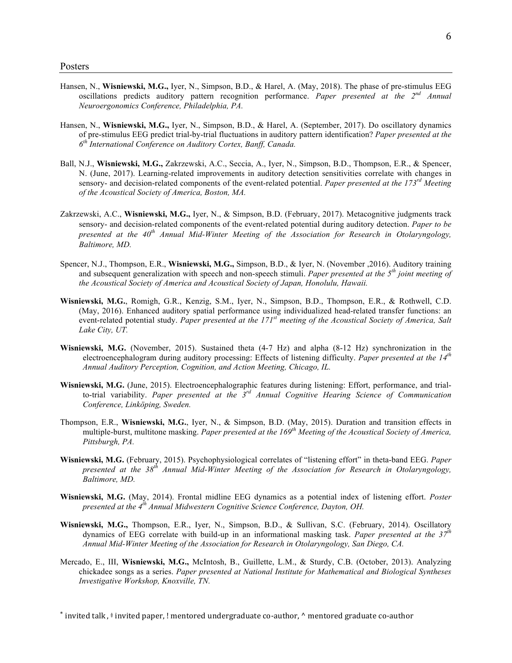- Hansen, N., **Wisniewski, M.G.,** Iyer, N., Simpson, B.D., & Harel, A. (May, 2018). The phase of pre-stimulus EEG oscillations predicts auditory pattern recognition performance. *Paper presented at the 2nd Annual Neuroergonomics Conference, Philadelphia, PA.*
- Hansen, N., **Wisniewski, M.G.,** Iyer, N., Simpson, B.D., & Harel, A. (September, 2017). Do oscillatory dynamics of pre-stimulus EEG predict trial-by-trial fluctuations in auditory pattern identification? *Paper presented at the 6th International Conference on Auditory Cortex, Banff, Canada.*
- Ball, N.J., **Wisniewski, M.G.,** Zakrzewski, A.C., Seccia, A., Iyer, N., Simpson, B.D., Thompson, E.R., & Spencer, N. (June, 2017). Learning-related improvements in auditory detection sensitivities correlate with changes in sensory- and decision-related components of the event-related potential. *Paper presented at the 173rd Meeting of the Acoustical Society of America, Boston, MA.*
- Zakrzewski, A.C., **Wisniewski, M.G.,** Iyer, N., & Simpson, B.D. (February, 2017). Metacognitive judgments track sensory- and decision-related components of the event-related potential during auditory detection. *Paper to be presented at the 40th Annual Mid-Winter Meeting of the Association for Research in Otolaryngology, Baltimore, MD.*
- Spencer, N.J., Thompson, E.R., **Wisniewski, M.G.,** Simpson, B.D., & Iyer, N. (November ,2016). Auditory training and subsequent generalization with speech and non-speech stimuli. *Paper presented at the 5th joint meeting of the Acoustical Society of America and Acoustical Society of Japan, Honolulu, Hawaii.*
- **Wisniewski, M.G.**, Romigh, G.R., Kenzig, S.M., Iyer, N., Simpson, B.D., Thompson, E.R., & Rothwell, C.D. (May, 2016). Enhanced auditory spatial performance using individualized head-related transfer functions: an event-related potential study. *Paper presented at the 171st meeting of the Acoustical Society of America, Salt Lake City, UT.*
- **Wisniewski, M.G.** (November, 2015). Sustained theta (4-7 Hz) and alpha (8-12 Hz) synchronization in the electroencephalogram during auditory processing: Effects of listening difficulty. *Paper presented at the 14th Annual Auditory Perception, Cognition, and Action Meeting, Chicago, IL.*
- **Wisniewski, M.G.** (June, 2015). Electroencephalographic features during listening: Effort, performance, and trialto-trial variability. *Paper presented at the 3rd Annual Cognitive Hearing Science of Communication Conference, Linköping, Sweden.*
- Thompson, E.R., **Wisniewski, M.G.**, Iyer, N., & Simpson, B.D. (May, 2015). Duration and transition effects in multiple-burst, multitone masking. *Paper presented at the 169th Meeting of the Acoustical Society of America, Pittsburgh, PA.*
- **Wisniewski, M.G.** (February, 2015). Psychophysiological correlates of "listening effort" in theta-band EEG. *Paper presented at the 38th Annual Mid-Winter Meeting of the Association for Research in Otolaryngology, Baltimore, MD.*
- **Wisniewski, M.G.** (May, 2014). Frontal midline EEG dynamics as a potential index of listening effort. *Poster presented at the 4th Annual Midwestern Cognitive Science Conference, Dayton, OH.*
- **Wisniewski, M.G.,** Thompson, E.R., Iyer, N., Simpson, B.D., & Sullivan, S.C. (February, 2014). Oscillatory dynamics of EEG correlate with build-up in an informational masking task. *Paper presented at the 37th Annual Mid-Winter Meeting of the Association for Research in Otolaryngology, San Diego, CA.*
- Mercado, E., III, **Wisniewski, M.G.,** McIntosh, B., Guillette, L.M., & Sturdy, C.B. (October, 2013). Analyzing chickadee songs as a series. *Paper presented at National Institute for Mathematical and Biological Syntheses Investigative Workshop, Knoxville, TN.*

\* invited talk,  $\ddot{a}$  invited paper, ! mentored undergraduate co-author,  $\wedge$  mentored graduate co-author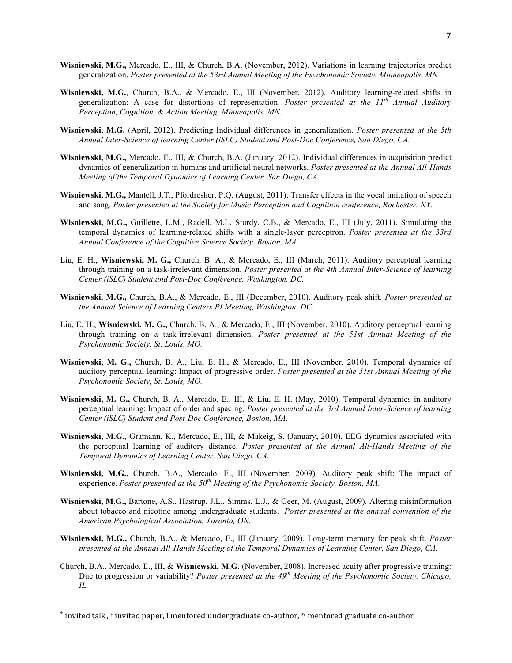- **Wisniewski, M.G.,** Mercado, E., III, & Church, B.A. (November, 2012). Variations in learning trajectories predict generalization. *Poster presented at the 53rd Annual Meeting of the Psychonomic Society, Minneapolis, MN*
- **Wisniewski, M.G.**, Church, B.A., & Mercado, E., III (November, 2012). Auditory learning-related shifts in generalization: A case for distortions of representation. *Poster presented at the 11th Annual Auditory Perception, Cognition, & Action Meeting, Minneapolis, MN.*
- **Wisniewski, M.G.** (April, 2012). Predicting Individual differences in generalization. *Poster presented at the 5th Annual Inter-Science of learning Center (iSLC) Student and Post-Doc Conference, San Diego, CA.*
- **Wisniewski, M.G.,** Mercado, E., III, & Church, B.A. (January, 2012). Individual differences in acquisition predict dynamics of generalization in humans and artificial neural networks. *Poster presented at the Annual All-Hands Meeting of the Temporal Dynamics of Learning Center, San Diego, CA.*
- **Wisniewski, M.G.,** Mantell, J.T., Pfordresher, P.Q. (August, 2011). Transfer effects in the vocal imitation of speech and song. *Poster presented at the Society for Music Perception and Cognition conference, Rochester, NY.*
- **Wisniewski, M.G.,** Guillette, L.M., Radell, M.L, Sturdy, C.B., & Mercado, E., III (July, 2011). Simulating the temporal dynamics of learning-related shifts with a single-layer perceptron. *Poster presented at the 33rd Annual Conference of the Cognitive Science Society. Boston, MA.*
- Liu, E. H., **Wisniewski, M. G.,** Church, B. A., & Mercado, E., III (March, 2011). Auditory perceptual learning through training on a task-irrelevant dimension. *Poster presented at the 4th Annual Inter-Science of learning Center (iSLC) Student and Post-Doc Conference, Washington, DC.*
- **Wisniewski, M.G.,** Church, B.A., & Mercado, E., III (December, 2010). Auditory peak shift. *Poster presented at the Annual Science of Learning Centers PI Meeting, Washington, DC.*
- Liu, E. H., **Wisniewski, M. G.,** Church, B. A., & Mercado, E., III (November, 2010). Auditory perceptual learning through training on a task-irrelevant dimension. *Poster presented at the 51st Annual Meeting of the Psychonomic Society, St. Louis, MO.*
- **Wisniewski, M. G.,** Church, B. A., Liu, E. H., & Mercado, E., III (November, 2010). Temporal dynamics of auditory perceptual learning: Impact of progressive order. *Poster presented at the 51st Annual Meeting of the Psychonomic Society, St. Louis, MO.*
- **Wisniewski, M. G.,** Church, B. A., Mercado, E., III, & Liu, E. H. (May, 2010). Temporal dynamics in auditory perceptual learning: Impact of order and spacing. *Poster presented at the 3rd Annual Inter-Science of learning Center (iSLC) Student and Post-Doc Conference, Boston, MA.*
- **Wisniewski, M.G.,** Gramann, K., Mercado, E., III, & Makeig, S. (January, 2010). EEG dynamics associated with the perceptual learning of auditory distance. *Poster presented at the Annual All-Hands Meeting of the Temporal Dynamics of Learning Center, San Diego, CA.*
- **Wisniewski, M.G.,** Church, B.A., Mercado, E., III (November, 2009). Auditory peak shift: The impact of experience. *Poster presented at the 50th Meeting of the Psychonomic Society, Boston, MA.*
- **Wisniewski, M.G.,** Bartone, A.S., Hastrup, J.L., Simms, L.J., & Geer, M. (August, 2009). Altering misinformation about tobacco and nicotine among undergraduate students. *Poster presented at the annual convention of the American Psychological Association, Toronto, ON.*
- **Wisniewski, M.G.,** Church, B.A., & Mercado, E., III (January, 2009). Long-term memory for peak shift. *Poster presented at the Annual All-Hands Meeting of the Temporal Dynamics of Learning Center, San Diego, CA.*
- Church, B.A., Mercado, E., III, & **Wisniewski, M.G.** (November, 2008). Increased acuity after progressive training: Due to progression or variability? *Poster presented at the 49th Meeting of the Psychonomic Society, Chicago, IL.*
- \* invited talk,  $\ddot{ }$  invited paper, ! mentored undergraduate co-author,  $\wedge$  mentored graduate co-author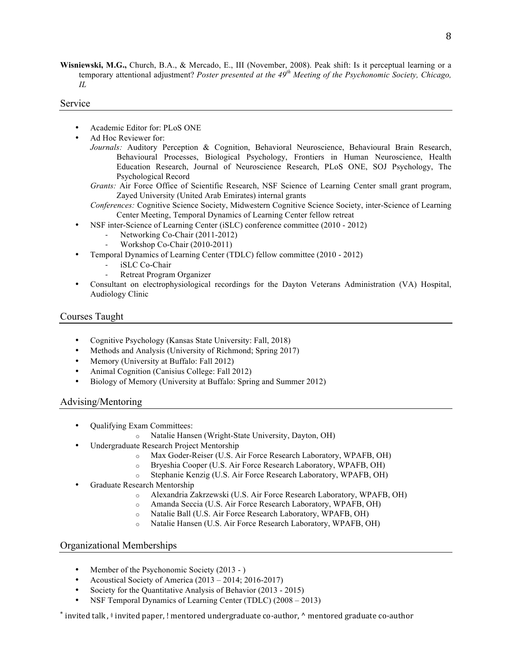**Wisniewski, M.G.,** Church, B.A., & Mercado, E., III (November, 2008). Peak shift: Is it perceptual learning or a temporary attentional adjustment? *Poster presented at the 49th Meeting of the Psychonomic Society, Chicago, IL*

# Service

- Academic Editor for: PLoS ONE
- Ad Hoc Reviewer for:
	- *Journals:* Auditory Perception & Cognition, Behavioral Neuroscience, Behavioural Brain Research, Behavioural Processes, Biological Psychology, Frontiers in Human Neuroscience, Health Education Research, Journal of Neuroscience Research, PLoS ONE, SOJ Psychology, The Psychological Record
	- *Grants:* Air Force Office of Scientific Research, NSF Science of Learning Center small grant program, Zayed University (United Arab Emirates) internal grants

*Conferences:* Cognitive Science Society, Midwestern Cognitive Science Society, inter-Science of Learning Center Meeting, Temporal Dynamics of Learning Center fellow retreat

- NSF inter-Science of Learning Center (iSLC) conference committee (2010 2012)
	- Networking Co-Chair (2011-2012)
	- Workshop Co-Chair (2010-2011)
- Temporal Dynamics of Learning Center (TDLC) fellow committee (2010 2012)
	- iSLC Co-Chair
	- Retreat Program Organizer
- Consultant on electrophysiological recordings for the Dayton Veterans Administration (VA) Hospital, Audiology Clinic

# Courses Taught

- Cognitive Psychology (Kansas State University: Fall, 2018)
- Methods and Analysis (University of Richmond; Spring 2017)
- Memory (University at Buffalo: Fall 2012)
- Animal Cognition (Canisius College: Fall 2012)
- Biology of Memory (University at Buffalo: Spring and Summer 2012)

# Advising/Mentoring

- Qualifying Exam Committees:
	- o Natalie Hansen (Wright-State University, Dayton, OH)
- Undergraduate Research Project Mentorship
	- o Max Goder-Reiser (U.S. Air Force Research Laboratory, WPAFB, OH)
	- o Bryeshia Cooper (U.S. Air Force Research Laboratory, WPAFB, OH)
	- o Stephanie Kenzig (U.S. Air Force Research Laboratory, WPAFB, OH)
- Graduate Research Mentorship
	- o Alexandria Zakrzewski (U.S. Air Force Research Laboratory, WPAFB, OH)
	- o Amanda Seccia (U.S. Air Force Research Laboratory, WPAFB, OH)
	- o Natalie Ball (U.S. Air Force Research Laboratory, WPAFB, OH)
	- o Natalie Hansen (U.S. Air Force Research Laboratory, WPAFB, OH)

# Organizational Memberships

- Member of the Psychonomic Society (2013 )
- Acoustical Society of America (2013 2014; 2016-2017)
- Society for the Quantitative Analysis of Behavior (2013 2015)
- NSF Temporal Dynamics of Learning Center (TDLC) (2008 2013)

 $^*$  invited talk,  $\ddagger$  invited paper, ! mentored undergraduate co-author,  $^\wedge$  mentored graduate co-author